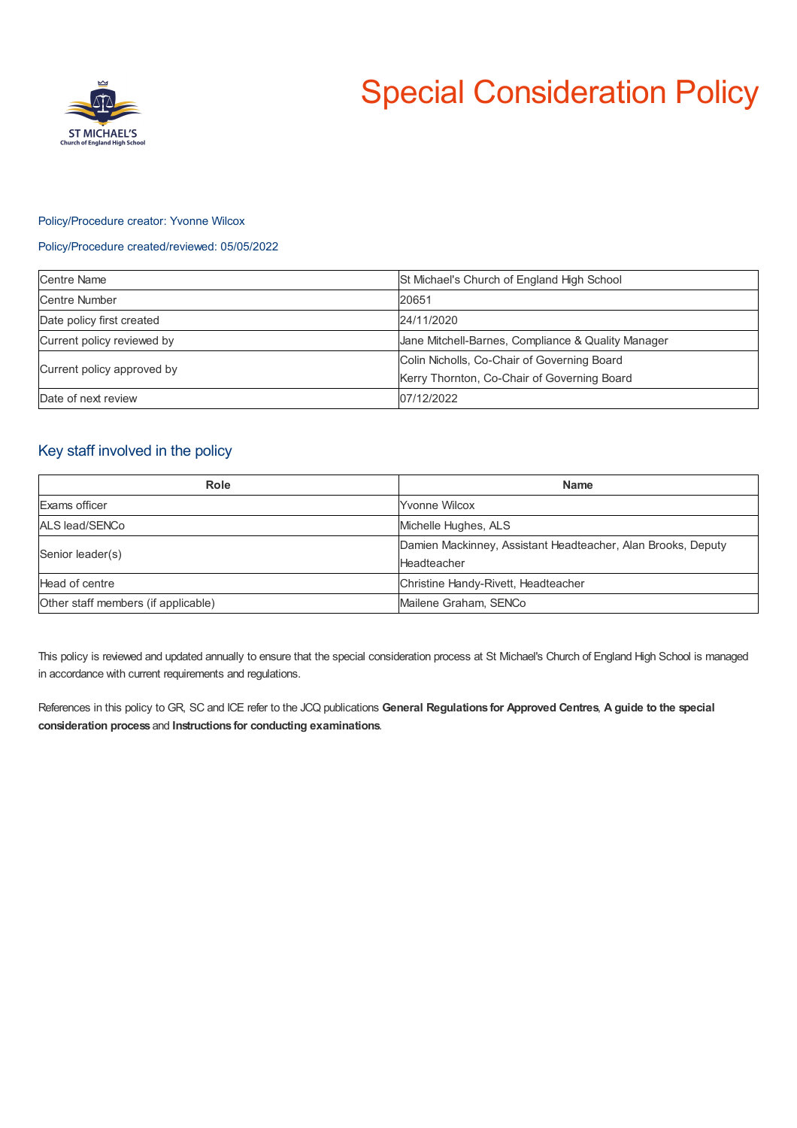

## Policy/Procedure creator: Yvonne Wilcox

## Policy/Procedure created/reviewed: 05/05/2022

| <b>Centre Name</b>         | St Michael's Church of England High School                                                 |
|----------------------------|--------------------------------------------------------------------------------------------|
| Centre Number              | 20651                                                                                      |
| Date policy first created  | 24/11/2020                                                                                 |
| Current policy reviewed by | Jane Mitchell-Barnes, Compliance & Quality Manager                                         |
| Current policy approved by | Colin Nicholls, Co-Chair of Governing Board<br>Kerry Thornton, Co-Chair of Governing Board |
| Date of next review        | 07/12/2022                                                                                 |

## Key staff involved in the policy

| Role                                | <b>Name</b>                                                                 |
|-------------------------------------|-----------------------------------------------------------------------------|
| Exams officer                       | Yvonne Wilcox                                                               |
| ALS lead/SENCo                      | Michelle Hughes, ALS                                                        |
| Senior leader(s)                    | Damien Mackinney, Assistant Headteacher, Alan Brooks, Deputy<br>Headteacher |
| Head of centre                      | Christine Handy-Rivett, Headteacher                                         |
| Other staff members (if applicable) | Mailene Graham, SENCo                                                       |

This policy is reviewed and updated annually to ensure that the special consideration process at St Michael's Church of England High School is managed in accordance with current requirements and regulations.

References in this policy to GR, SC and ICE refer to the JCQ publications **General Regulations for Approved Centres**, **A guide to the special consideration process** and **Instructions for conducting examinations**.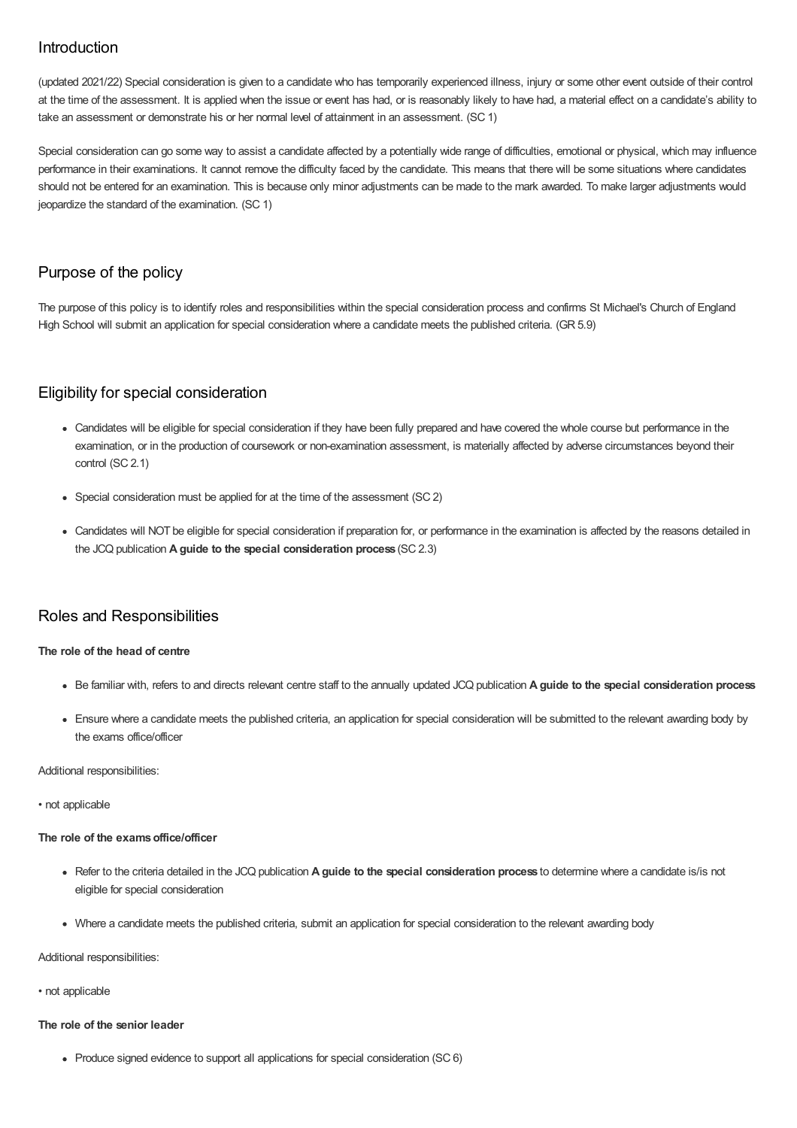# Introduction

(updated 2021/22) Special consideration is given to a candidate who has temporarily experienced illness, injury or some other event outside of their control at the time of the assessment. It is applied when the issue or event has had, or is reasonably likely to have had, a material effect on a candidate's ability to take an assessment or demonstrate his or her normal level of attainment in an assessment. (SC 1)

Special consideration can go some way to assist a candidate affected by a potentially wide range of difficulties, emotional or physical, which may influence performance in their examinations. It cannot remove the difficulty faced by the candidate. This means that there will be some situations where candidates should not be entered for an examination. This is because only minor adjustments can be made to the mark awarded. To make larger adjustments would jeopardize the standard of the examination. (SC 1)

# Purpose of the policy

The purpose of this policy is to identify roles and responsibilities within the special consideration process and confirms St Michael's Church of England High School will submit an application for special consideration where a candidate meets the published criteria. (GR 5.9)

# Eligibility for special consideration

- Candidates will be eligible for special consideration if they have been fully prepared and have covered the whole course but performance in the examination, or in the production of coursework or non-examination assessment, is materially affected by adverse circumstances beyond their control (SC 2.1)
- Special consideration must be applied for at the time of the assessment (SC 2)
- Candidates will NOT be eligible for special consideration if preparation for, or performance in the examination is affected by the reasons detailed in the JCQ publication **A guide to the special consideration process** (SC 2.3)

## Roles and Responsibilities

### **The role of the head of centre**

- Be familiar with, refers to and directs relevant centre staff to the annually updated JCQ publication **A guide to the special consideration process**
- Ensure where a candidate meets the published criteria, an application for special consideration will be submitted to the relevant awarding body by the exams office/officer

### Additional responsibilities:

### • not applicable

### **The role of the examsoffice/officer**

- Refer to the criteria detailed in the JCQ publication **A guide to the special consideration process** to determine where a candidate is/is not eligible for special consideration
- Where a candidate meets the published criteria, submit an application for special consideration to the relevant awarding body

Additional responsibilities:

### • not applicable

### **The role of the senior leader**

• Produce signed evidence to support all applications for special consideration (SC 6)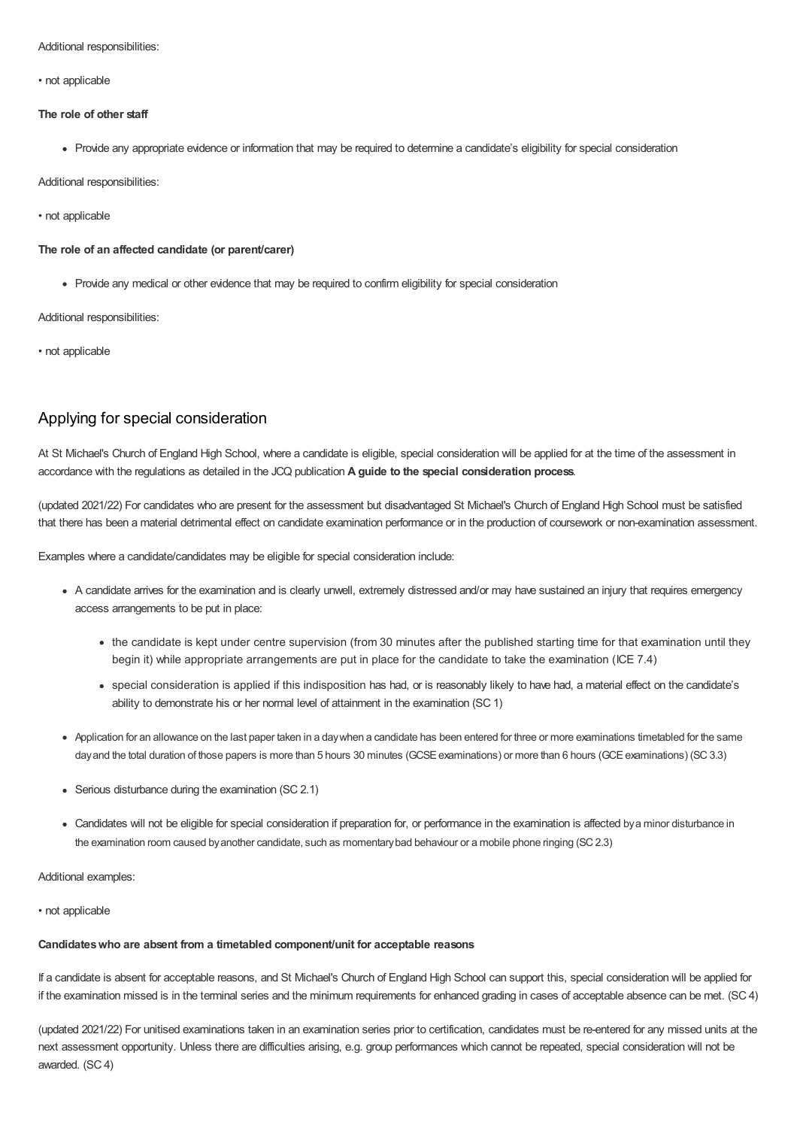Additional responsibilities:

• not applicable

#### **The role of other staff**

Provide any appropriate evidence or information that may be required to determine a candidate's eligibility for special consideration

Additional responsibilities:

• not applicable

### **The role of an affected candidate (or parent/carer)**

Provide any medical or other evidence that may be required to confirm eligibility for special consideration

Additional responsibilities:

• not applicable

## Applying for special consideration

At St Michael's Church of England High School, where a candidate is eligible, special consideration will be applied for at the time of the assessment in accordance with the regulations as detailed in the JCQ publication **A guide to the special consideration process**.

(updated 2021/22) For candidates who are present for the assessment but disadvantaged St Michael's Church of England High School must be satisfied that there has been a material detrimental effect on candidate examination performance or in the production of coursework or non-examination assessment.

Examples where a candidate/candidates may be eligible for special consideration include:

- A candidate arrives for the examination and is clearly unwell, extremely distressed and/or may have sustained an injury that requires emergency access arrangements to be put in place:
	- the candidate is kept under centre supervision (from 30 minutes after the published starting time for that examination until they begin it) while appropriate arrangements are put in place for the candidate to take the examination (ICE 7.4)
	- special consideration is applied if this indisposition has had, or is reasonably likely to have had, a material effect on the candidate's ability to demonstrate his or her normal level of attainment in the examination (SC 1)
- Application for an allowance on the last paper taken in a daywhen a candidate has been entered for three or more examinations timetabled for the same dayand the total duration of those papers is more than 5 hours 30 minutes (GCSE examinations) or more than 6 hours (GCE examinations) (SC 3.3)
- Serious disturbance during the examination (SC 2.1)
- Candidates will not be eligible for special consideration if preparation for, or performance in the examination is affected bya minor disturbance in the examination room caused byanother candidate, such as momentarybad behaviour or a mobile phone ringing (SC2.3)

Additional examples:

### • not applicable

### **Candidateswho are absent from a timetabled component/unit for acceptable reasons**

If a candidate is absent for acceptable reasons, and St Michael's Church of England High School can support this, special consideration will be applied for if the examination missed is in the terminal series and the minimum requirements for enhanced grading in cases of acceptable absence can be met. (SC 4)

(updated 2021/22) For unitised examinations taken in an examination series prior to certification, candidates must be re-entered for any missed units at the next assessment opportunity. Unless there are difficulties arising, e.g. group performances which cannot be repeated, special consideration will not be awarded. (SC 4)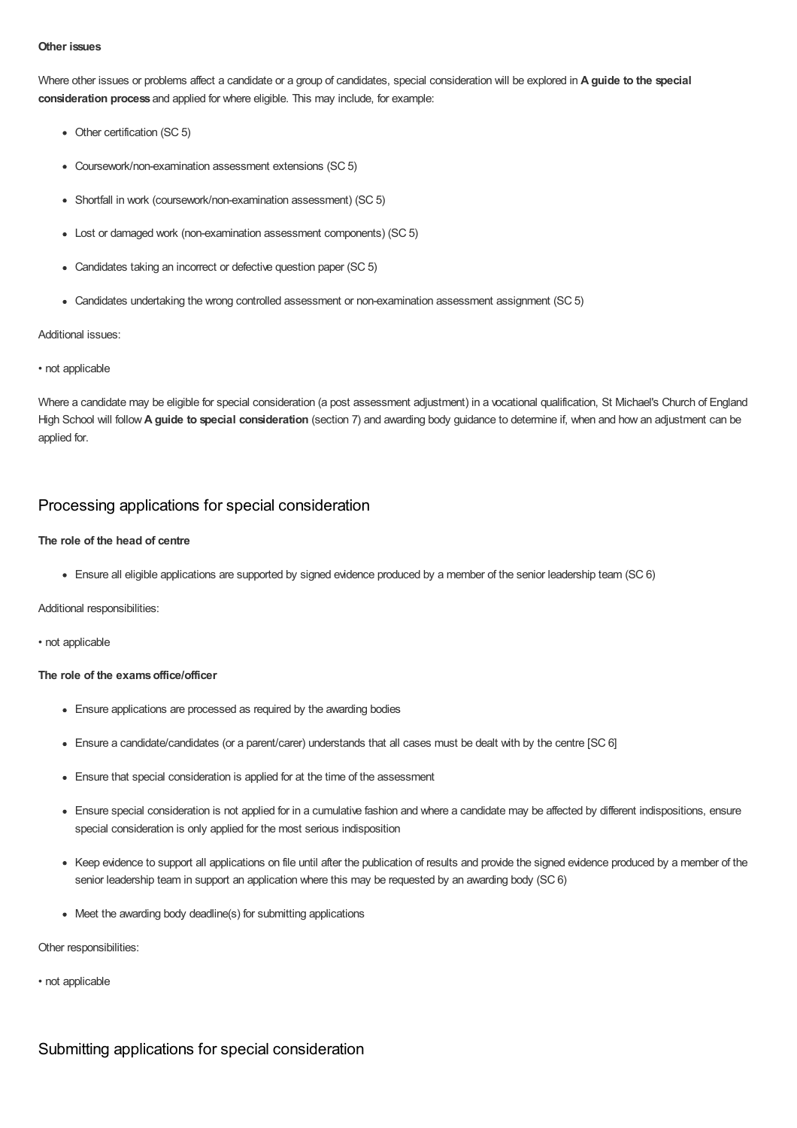#### **Other issues**

Where other issues or problems affect a candidate or a group of candidates, special consideration will be explored in **A guide to the special consideration process** and applied for where eligible. This may include, for example:

- Other certification (SC 5)
- Coursework/non-examination assessment extensions (SC 5)
- Shortfall in work (coursework/non-examination assessment) (SC 5)
- Lost or damaged work (non-examination assessment components) (SC 5)
- Candidates taking an incorrect or defective question paper (SC 5)
- Candidates undertaking the wrong controlled assessment or non-examination assessment assignment (SC 5)

### Additional issues:

• not applicable

Where a candidate may be eligible for special consideration (a post assessment adjustment) in a vocational qualification, St Michael's Church of England High School will follow **A guide to special consideration** (section 7) and awarding body guidance to determine if, when and how an adjustment can be applied for.

## Processing applications for special consideration

#### **The role of the head of centre**

Ensure all eligible applications are supported by signed evidence produced by a member of the senior leadership team (SC 6)

#### Additional responsibilities:

• not applicable

### **The role of the examsoffice/officer**

- Ensure applications are processed as required by the awarding bodies
- Ensure a candidate/candidates (or a parent/carer) understands that all cases must be dealt with by the centre [SC 6]
- Ensure that special consideration is applied for at the time of the assessment
- Ensure special consideration is not applied for in a cumulative fashion and where a candidate may be affected by different indispositions, ensure special consideration is only applied for the most serious indisposition
- Keep evidence to support all applications on file until after the publication of results and provide the signed evidence produced by a member of the senior leadership team in support an application where this may be requested by an awarding body (SC 6)
- Meet the awarding body deadline(s) for submitting applications

Other responsibilities:

• not applicable

## Submitting applications for special consideration